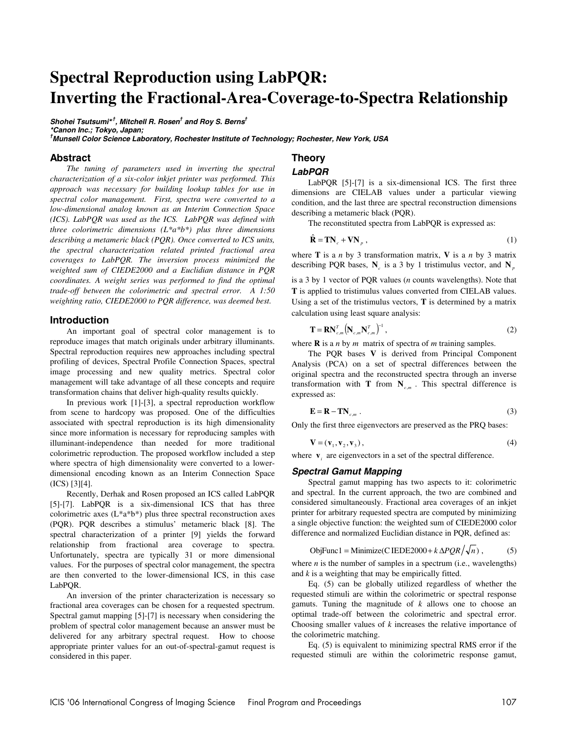# **Spectral Reproduction using LabPQR: Inverting the Fractional-Area-Coverage-to-Spectra Relationship**

**Shohei Tsutsumi\*,† , Mitchell R. Rosen† and Roy S. Berns† \*Canon Inc.; Tokyo, Japan; † Munsell Color Science Laboratory, Rochester Institute of Technology; Rochester, New York, USA** 

#### **Abstract**

*The tuning of parameters used in inverting the spectral characterization of a six-color inkjet printer was performed. This approach was necessary for building lookup tables for use in spectral color management. First, spectra were converted to a low-dimensional analog known as an Interim Connection Space (ICS). LabPQR was used as the ICS. LabPQR was defined with three colorimetric dimensions (L\*a\*b\*) plus three dimensions describing a metameric black (PQR). Once converted to ICS units, the spectral characterization related printed fractional area coverages to LabPQR. The inversion process minimized the weighted sum of CIEDE2000 and a Euclidian distance in PQR coordinates. A weight series was performed to find the optimal trade-off between the colorimetric and spectral error. A 1:50 weighting ratio, CIEDE2000 to PQR difference, was deemed best.* 

#### **Introduction**

An important goal of spectral color management is to reproduce images that match originals under arbitrary illuminants. Spectral reproduction requires new approaches including spectral profiling of devices, Spectral Profile Connection Spaces, spectral image processing and new quality metrics. Spectral color management will take advantage of all these concepts and require transformation chains that deliver high-quality results quickly.

In previous work [1]-[3], a spectral reproduction workflow from scene to hardcopy was proposed. One of the difficulties associated with spectral reproduction is its high dimensionality since more information is necessary for reproducing samples with illuminant-independence than needed for more traditional colorimetric reproduction. The proposed workflow included a step where spectra of high dimensionality were converted to a lowerdimensional encoding known as an Interim Connection Space (ICS) [3][4].

Recently, Derhak and Rosen proposed an ICS called LabPQR [5]-[7]. LabPQR is a six-dimensional ICS that has three colorimetric axes (L\*a\*b\*) plus three spectral reconstruction axes (PQR). PQR describes a stimulus' metameric black [8]. The spectral characterization of a printer [9] yields the forward relationship from fractional area coverage to spectra. Unfortunately, spectra are typically 31 or more dimensional values. For the purposes of spectral color management, the spectra are then converted to the lower-dimensional ICS, in this case LabPQR.

An inversion of the printer characterization is necessary so fractional area coverages can be chosen for a requested spectrum. Spectral gamut mapping [5]-[7] is necessary when considering the problem of spectral color management because an answer must be delivered for any arbitrary spectral request. How to choose appropriate printer values for an out-of-spectral-gamut request is considered in this paper.

## **Theory**

## **LabPQR**

LabPQR [5]-[7] is a six-dimensional ICS. The first three dimensions are CIELAB values under a particular viewing condition, and the last three are spectral reconstruction dimensions describing a metameric black (PQR).

The reconstituted spectra from LabPQR is expressed as:

$$
\hat{\mathbf{R}} = \mathbf{TN}_c + \mathbf{VN}_p \,,\tag{1}
$$

where **T** is a *n* by 3 transformation matrix, **V** is a *n* by 3 matrix describing PQR bases,  $N_c$  is a 3 by 1 tristimulus vector, and  $N_p$ 

is a 3 by 1 vector of PQR values (*n* counts wavelengths). Note that **T** is applied to tristimulus values converted from CIELAB values. Using a set of the tristimulus vectors, **T** is determined by a matrix calculation using least square analysis:

$$
\mathbf{T} = \mathbf{R} \mathbf{N}_{c,m}^T \big( \mathbf{N}_{c,m} \mathbf{N}_{c,m}^T \big)^{-1},\tag{2}
$$

where **R** is a *n* by *m* matrix of spectra of *m* training samples.

 The PQR bases **V** is derived from Principal Component Analysis (PCA) on a set of spectral differences between the original spectra and the reconstructed spectra through an inverse transformation with **T** from  $N_{c,m}$ . This spectral difference is expressed as:

$$
\mathbf{E} = \mathbf{R} - \mathbf{TN}_{c,m} \tag{3}
$$

Only the first three eigenvectors are preserved as the PRQ bases:

$$
\mathbf{V} = (\mathbf{v}_1, \mathbf{v}_2, \mathbf{v}_3),\tag{4}
$$

where  $\mathbf{v}_i$  are eigenvectors in a set of the spectral difference.

#### **Spectral Gamut Mapping**

Spectral gamut mapping has two aspects to it: colorimetric and spectral. In the current approach, the two are combined and considered simultaneously. Fractional area coverages of an inkjet printer for arbitrary requested spectra are computed by minimizing a single objective function: the weighted sum of CIEDE2000 color difference and normalized Euclidian distance in PQR, defined as:

ObjFunc1 = Minimize(C IEDE2000 + 
$$
k \Delta PQR / \sqrt{n}
$$
, (5)

where  $n$  is the number of samples in a spectrum (i.e., wavelengths) and *k* is a weighting that may be empirically fitted.

Eq. (5) can be globally utilized regardless of whether the requested stimuli are within the colorimetric or spectral response gamuts. Tuning the magnitude of *k* allows one to choose an optimal trade-off between the colorimetric and spectral error. Choosing smaller values of *k* increases the relative importance of the colorimetric matching.

Eq. (5) is equivalent to minimizing spectral RMS error if the requested stimuli are within the colorimetric response gamut,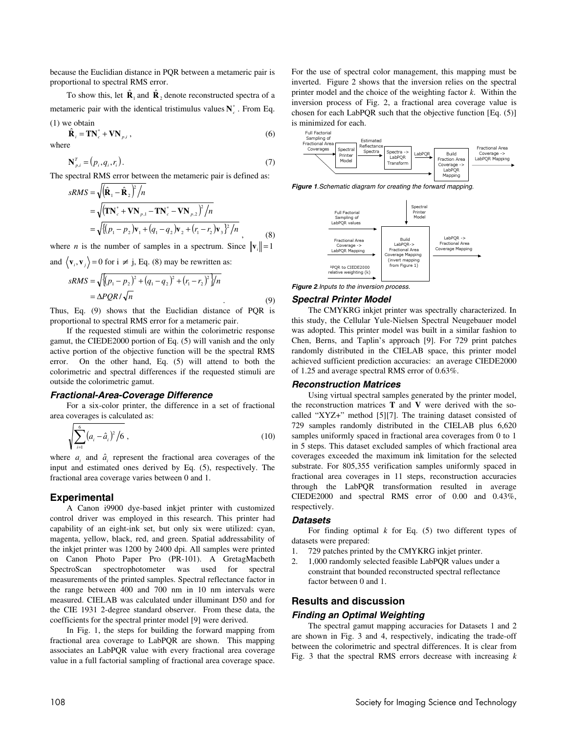because the Euclidian distance in PQR between a metameric pair is proportional to spectral RMS error.

To show this, let  $\hat{\mathbf{R}}_1$  and  $\hat{\mathbf{R}}_2$  denote reconstructed spectra of a metameric pair with the identical tristimulus values  $N_a^*$ . From Eq. (1) we obtain

 $\hat{\mathbf{R}}_i = \mathbf{T} \mathbf{N}_c^* + \mathbf{V} \mathbf{N}_{p,i}$ , (6) where

$$
\mathbf{N}_{p,i}^T = (p_i, q_i, r_i). \tag{7}
$$

The spectral RMS error between the metameric pair is defined as:

$$
sRMS = \sqrt{(\hat{\mathbf{R}}_1 - \hat{\mathbf{R}}_2)^2/n}
$$
  
=  $\sqrt{(\mathbf{TN}_c^* + \mathbf{VN}_{p,1} - \mathbf{TN}_c^* - \mathbf{VN}_{p,2})^2/n}$   
=  $\sqrt{\{(p_1 - p_2)\mathbf{v}_1 + (q_1 - q_2)\mathbf{v}_2 + (r_1 - r_2)\mathbf{v}_3\}^2/n}$ , (8)

where *n* is the number of samples in a spectrum. Since  $\|\mathbf{v}\| = 1$ 

and  $\langle v_i, v_j \rangle = 0$  for  $i \neq j$ , Eq. (8) may be rewritten as:

$$
sRMS = \sqrt{\{(p_1 - p_2)^2 + (q_1 - q_2)^2 + (r_1 - r_2)^2\}}/n
$$
  
=  $\Delta PQR/\sqrt{n}$  (9)

Thus, Eq. (9) shows that the Euclidian distance of PQR is proportional to spectral RMS error for a metameric pair.

 If the requested stimuli are within the colorimetric response gamut, the CIEDE2000 portion of Eq. (5) will vanish and the only active portion of the objective function will be the spectral RMS error. On the other hand, Eq. (5) will attend to both the colorimetric and spectral differences if the requested stimuli are outside the colorimetric gamut.

#### **Fractional-Area-Coverage Difference**

For a six-color printer, the difference in a set of fractional area coverages is calculated as:

$$
\sum_{i=1}^{6} (a_i - \hat{a}_i)^2 / 6 \tag{10}
$$

where  $a_i$  and  $\hat{a}_i$  represent the fractional area coverages of the input and estimated ones derived by Eq. (5), respectively. The fractional area coverage varies between 0 and 1.

#### **Experimental**

A Canon i9900 dye-based inkjet printer with customized control driver was employed in this research. This printer had capability of an eight-ink set, but only six were utilized: cyan, magenta, yellow, black, red, and green. Spatial addressability of the inkjet printer was 1200 by 2400 dpi. All samples were printed on Canon Photo Paper Pro (PR-101). A GretagMacbeth SpectroScan spectrophotometer was used for spectral measurements of the printed samples. Spectral reflectance factor in the range between 400 and 700 nm in 10 nm intervals were measured. CIELAB was calculated under illuminant D50 and for the CIE 1931 2-degree standard observer. From these data, the coefficients for the spectral printer model [9] were derived.

In Fig. 1, the steps for building the forward mapping from fractional area coverage to LabPQR are shown. This mapping associates an LabPQR value with every fractional area coverage value in a full factorial sampling of fractional area coverage space. For the use of spectral color management, this mapping must be inverted. Figure 2 shows that the inversion relies on the spectral printer model and the choice of the weighting factor *k*. Within the inversion process of Fig. 2, a fractional area coverage value is chosen for each LabPQR such that the objective function [Eq. (5)] is minimized for each.



**Figure 1**.Schematic diagram for creating the forward mapping.



**Figure 2**.Inputs to the inversion process.

#### **Spectral Printer Model**

The CMYKRG inkjet printer was spectrally characterized. In this study, the Cellular Yule-Nielsen Spectral Neugebauer model was adopted. This printer model was built in a similar fashion to Chen, Berns, and Taplin's approach [9]. For 729 print patches randomly distributed in the CIELAB space, this printer model achieved sufficient prediction accuracies: an average CIEDE2000 of 1.25 and average spectral RMS error of 0.63%.

#### **Reconstruction Matrices**

Using virtual spectral samples generated by the printer model, the reconstruction matrices **T** and **V** were derived with the socalled "XYZ+" method [5][7]. The training dataset consisted of 729 samples randomly distributed in the CIELAB plus 6,620 samples uniformly spaced in fractional area coverages from 0 to 1 in 5 steps. This dataset excluded samples of which fractional area coverages exceeded the maximum ink limitation for the selected substrate. For 805,355 verification samples uniformly spaced in fractional area coverages in 11 steps, reconstruction accuracies through the LabPQR transformation resulted in average CIEDE2000 and spectral RMS error of 0.00 and 0.43%, respectively.

#### **Datasets**

For finding optimal  $k$  for Eq. (5) two different types of datasets were prepared:

- 1. 729 patches printed by the CMYKRG inkjet printer.
- 2. 1,000 randomly selected feasible LabPQR values under a constraint that bounded reconstructed spectral reflectance factor between 0 and 1.

### **Results and discussion**

#### **Finding an Optimal Weighting**

The spectral gamut mapping accuracies for Datasets 1 and 2 are shown in Fig. 3 and 4, respectively, indicating the trade-off between the colorimetric and spectral differences. It is clear from Fig. 3 that the spectral RMS errors decrease with increasing *k*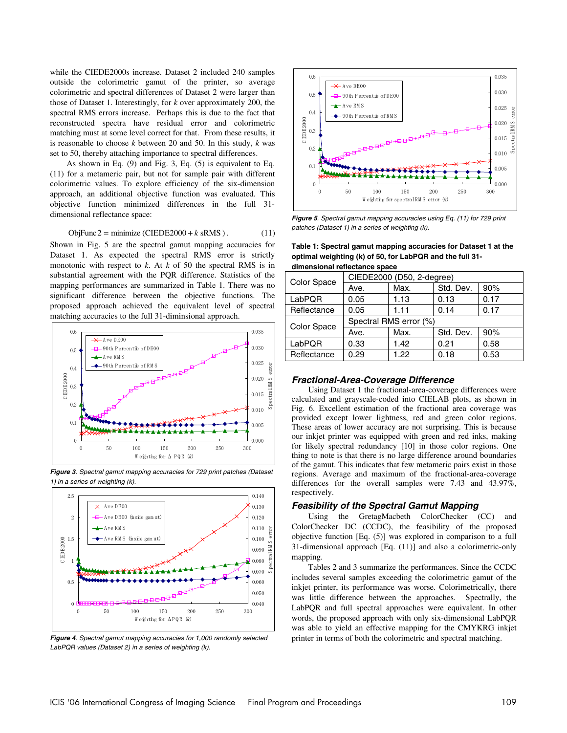while the CIEDE2000s increase. Dataset 2 included 240 samples outside the colorimetric gamut of the printer, so average colorimetric and spectral differences of Dataset 2 were larger than those of Dataset 1. Interestingly, for *k* over approximately 200, the spectral RMS errors increase. Perhaps this is due to the fact that reconstructed spectra have residual error and colorimetric matching must at some level correct for that. From these results, it is reasonable to choose *k* between 20 and 50. In this study, *k* was set to 50, thereby attaching importance to spectral differences.

As shown in Eq. (9) and Fig. 3, Eq. (5) is equivalent to Eq. (11) for a metameric pair, but not for sample pair with different colorimetric values. To explore efficiency of the six-dimension approach, an additional objective function was evaluated. This objective function minimized differences in the full 31 dimensional reflectance space:

$$
ObjFunc2 = minimize (CIEDE2000 + k sRMS).
$$
 (11)

Shown in Fig. 5 are the spectral gamut mapping accuracies for Dataset 1. As expected the spectral RMS error is strictly monotonic with respect to *k*. At *k* of 50 the spectral RMS is in substantial agreement with the PQR difference. Statistics of the mapping performances are summarized in Table 1. There was no significant difference between the objective functions. The proposed approach achieved the equivalent level of spectral matching accuracies to the full 31-diminsional approach.



**Figure 3**. Spectral gamut mapping accuracies for 729 print patches (Dataset 1) in a series of weighting (k).



**Figure 4**. Spectral gamut mapping accuracies for 1,000 randomly selected LabPQR values (Dataset 2) in a series of weighting (k).



**Figure 5**. Spectral gamut mapping accuracies using Eq. (11) for 729 print patches (Dataset 1) in a series of weighting (k).

**Table 1: Spectral gamut mapping accuracies for Dataset 1 at the optimal weighting (k) of 50, for LabPQR and the full 31 dimensional reflectance space** 

| Color Space | CIEDE2000 (D50, 2-degree) |      |           |      |  |  |
|-------------|---------------------------|------|-----------|------|--|--|
|             | Ave.                      | Max. | Std. Dev. | 90%  |  |  |
| LabPQR      | 0.05                      | 1.13 | 0.13      | 0.17 |  |  |
| Reflectance | 0.05                      | 1.11 | 0.14      | 0.17 |  |  |
| Color Space | Spectral RMS error (%)    |      |           |      |  |  |
|             | Ave.                      | Max. | Std. Dev. | 90%  |  |  |
| LabPQR      | 0.33                      | 1.42 | 0.21      | 0.58 |  |  |
| Reflectance | 0.29                      | 1.22 | 0.18      | 0.53 |  |  |
|             |                           |      |           |      |  |  |

#### **Fractional-Area-Coverage Difference**

Using Dataset 1 the fractional-area-coverage differences were calculated and grayscale-coded into CIELAB plots, as shown in Fig. 6. Excellent estimation of the fractional area coverage was provided except lower lightness, red and green color regions. These areas of lower accuracy are not surprising. This is because our inkjet printer was equipped with green and red inks, making for likely spectral redundancy [10] in those color regions. One thing to note is that there is no large difference around boundaries of the gamut. This indicates that few metameric pairs exist in those regions. Average and maximum of the fractional-area-coverage differences for the overall samples were 7.43 and 43.97%, respectively.

#### **Feasibility of the Spectral Gamut Mapping**

Using the GretagMacbeth ColorChecker (CC) and ColorChecker DC (CCDC), the feasibility of the proposed objective function [Eq. (5)] was explored in comparison to a full 31-dimensional approach [Eq. (11)] and also a colorimetric-only mapping.

Tables 2 and 3 summarize the performances. Since the CCDC includes several samples exceeding the colorimetric gamut of the inkjet printer, its performance was worse. Colorimetrically, there was little difference between the approaches. Spectrally, the LabPQR and full spectral approaches were equivalent. In other words, the proposed approach with only six-dimensional LabPQR was able to yield an effective mapping for the CMYKRG inkjet printer in terms of both the colorimetric and spectral matching.